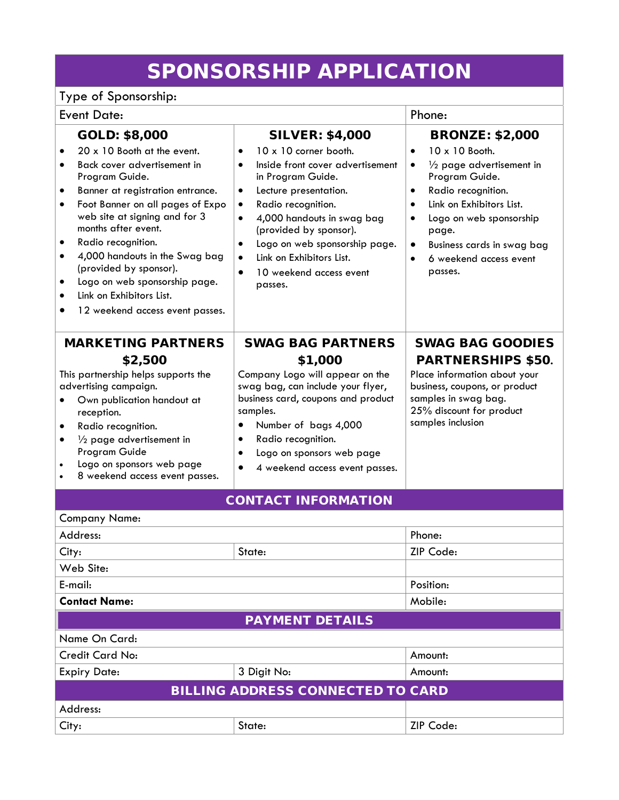## SPONSORSHIP APPLICATION

## Type of Sponsorship:

| <b>Event Date:</b>                                                                                                                                                                                                                                                                                                                                                                                                                                                                            |                                                                                                                                                                                                                                                                                                                                                                                                                            | Phone:                                                                                                                                                                                                                                                                                                         |  |  |  |
|-----------------------------------------------------------------------------------------------------------------------------------------------------------------------------------------------------------------------------------------------------------------------------------------------------------------------------------------------------------------------------------------------------------------------------------------------------------------------------------------------|----------------------------------------------------------------------------------------------------------------------------------------------------------------------------------------------------------------------------------------------------------------------------------------------------------------------------------------------------------------------------------------------------------------------------|----------------------------------------------------------------------------------------------------------------------------------------------------------------------------------------------------------------------------------------------------------------------------------------------------------------|--|--|--|
| GOLD: \$8,000<br>20 x 10 Booth at the event.<br>Back cover advertisement in<br>$\bullet$<br>Program Guide.<br>Banner at registration entrance.<br>$\bullet$<br>Foot Banner on all pages of Expo<br>$\bullet$<br>web site at signing and for 3<br>months after event.<br>Radio recognition.<br>4,000 handouts in the Swag bag<br>$\bullet$<br>(provided by sponsor).<br>Logo on web sponsorship page.<br>$\bullet$<br>Link on Exhibitors List.<br>$\bullet$<br>12 weekend access event passes. | <b>SILVER: \$4,000</b><br>10 x 10 corner booth.<br>$\bullet$<br>Inside front cover advertisement<br>$\bullet$<br>in Program Guide.<br>Lecture presentation.<br>$\bullet$<br>Radio recognition.<br>$\bullet$<br>4,000 handouts in swag bag<br>$\bullet$<br>(provided by sponsor).<br>Logo on web sponsorship page.<br>$\bullet$<br>Link on Exhibitors List.<br>$\bullet$<br>10 weekend access event<br>$\bullet$<br>passes. | <b>BRONZE: \$2,000</b><br>10 x 10 Booth.<br>$\bullet$<br>$\frac{1}{2}$ page advertisement in<br>Program Guide.<br>Radio recognition.<br>$\bullet$<br>Link on Exhibitors List.<br>$\bullet$<br>Logo on web sponsorship<br>page.<br>Business cards in swag bag<br>$\bullet$<br>6 weekend access event<br>passes. |  |  |  |
| <b>MARKETING PARTNERS</b><br>\$2,500<br>This partnership helps supports the<br>advertising campaign.<br>Own publication handout at<br>reception.<br>Radio recognition.<br>$\bullet$<br>$\frac{1}{2}$ page advertisement in<br>$\bullet$<br>Program Guide<br>Logo on sponsors web page<br>$\bullet$<br>8 weekend access event passes.                                                                                                                                                          | <b>SWAG BAG PARTNERS</b><br>\$1,000<br>Company Logo will appear on the<br>swag bag, can include your flyer,<br>business card, coupons and product<br>samples.<br>Number of bags 4,000<br>$\bullet$<br>Radio recognition.<br>$\bullet$<br>Logo on sponsors web page<br>$\bullet$<br>4 weekend access event passes.<br>$\bullet$                                                                                             | <b>SWAG BAG GOODIES</b><br><b>PARTNERSHIPS \$50.</b><br>Place information about your<br>business, coupons, or product<br>samples in swag bag.<br>25% discount for product<br>samples inclusion                                                                                                                 |  |  |  |
| <b>CONTACT INFORMATION</b>                                                                                                                                                                                                                                                                                                                                                                                                                                                                    |                                                                                                                                                                                                                                                                                                                                                                                                                            |                                                                                                                                                                                                                                                                                                                |  |  |  |
| Company Name:                                                                                                                                                                                                                                                                                                                                                                                                                                                                                 |                                                                                                                                                                                                                                                                                                                                                                                                                            |                                                                                                                                                                                                                                                                                                                |  |  |  |
| Address:                                                                                                                                                                                                                                                                                                                                                                                                                                                                                      |                                                                                                                                                                                                                                                                                                                                                                                                                            | Phone:                                                                                                                                                                                                                                                                                                         |  |  |  |
| City:                                                                                                                                                                                                                                                                                                                                                                                                                                                                                         | State:                                                                                                                                                                                                                                                                                                                                                                                                                     |                                                                                                                                                                                                                                                                                                                |  |  |  |
| Web Site:                                                                                                                                                                                                                                                                                                                                                                                                                                                                                     |                                                                                                                                                                                                                                                                                                                                                                                                                            |                                                                                                                                                                                                                                                                                                                |  |  |  |
| E-mail:                                                                                                                                                                                                                                                                                                                                                                                                                                                                                       |                                                                                                                                                                                                                                                                                                                                                                                                                            | Position:                                                                                                                                                                                                                                                                                                      |  |  |  |
| <b>Contact Name:</b>                                                                                                                                                                                                                                                                                                                                                                                                                                                                          |                                                                                                                                                                                                                                                                                                                                                                                                                            | Mobile:                                                                                                                                                                                                                                                                                                        |  |  |  |
| <b>PAYMENT DETAILS</b>                                                                                                                                                                                                                                                                                                                                                                                                                                                                        |                                                                                                                                                                                                                                                                                                                                                                                                                            |                                                                                                                                                                                                                                                                                                                |  |  |  |
| Name On Card:                                                                                                                                                                                                                                                                                                                                                                                                                                                                                 |                                                                                                                                                                                                                                                                                                                                                                                                                            |                                                                                                                                                                                                                                                                                                                |  |  |  |
| <b>Credit Card No:</b>                                                                                                                                                                                                                                                                                                                                                                                                                                                                        |                                                                                                                                                                                                                                                                                                                                                                                                                            | Amount:                                                                                                                                                                                                                                                                                                        |  |  |  |
| <b>Expiry Date:</b>                                                                                                                                                                                                                                                                                                                                                                                                                                                                           | 3 Digit No:                                                                                                                                                                                                                                                                                                                                                                                                                | Amount:                                                                                                                                                                                                                                                                                                        |  |  |  |
| <b>BILLING ADDRESS CONNECTED TO CARD</b>                                                                                                                                                                                                                                                                                                                                                                                                                                                      |                                                                                                                                                                                                                                                                                                                                                                                                                            |                                                                                                                                                                                                                                                                                                                |  |  |  |
| Address:                                                                                                                                                                                                                                                                                                                                                                                                                                                                                      |                                                                                                                                                                                                                                                                                                                                                                                                                            |                                                                                                                                                                                                                                                                                                                |  |  |  |
| City:                                                                                                                                                                                                                                                                                                                                                                                                                                                                                         | State:                                                                                                                                                                                                                                                                                                                                                                                                                     | ZIP Code:                                                                                                                                                                                                                                                                                                      |  |  |  |
|                                                                                                                                                                                                                                                                                                                                                                                                                                                                                               |                                                                                                                                                                                                                                                                                                                                                                                                                            |                                                                                                                                                                                                                                                                                                                |  |  |  |